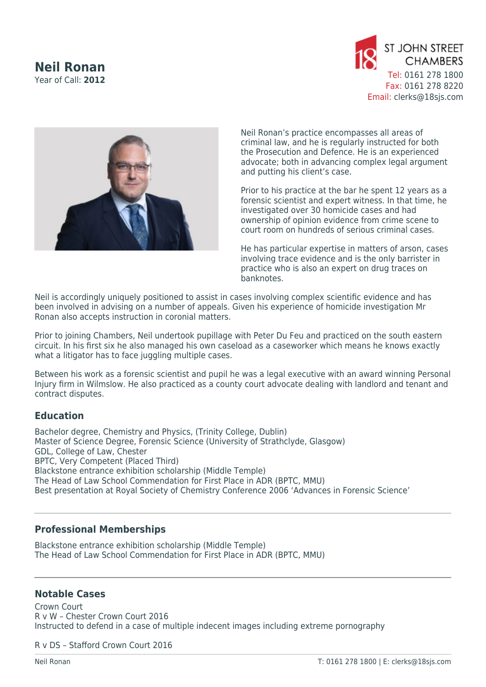## **Neil Ronan** Year of Call: **2012**





Neil Ronan's practice encompasses all areas of criminal law, and he is regularly instructed for both the Prosecution and Defence. He is an experienced advocate; both in advancing complex legal argument and putting his client's case.

Prior to his practice at the bar he spent 12 years as a forensic scientist and expert witness. In that time, he investigated over 30 homicide cases and had ownership of opinion evidence from crime scene to court room on hundreds of serious criminal cases.

He has particular expertise in matters of arson, cases involving trace evidence and is the only barrister in practice who is also an expert on drug traces on banknotes.

Neil is accordingly uniquely positioned to assist in cases involving complex scientific evidence and has been involved in advising on a number of appeals. Given his experience of homicide investigation Mr Ronan also accepts instruction in coronial matters.

Prior to joining Chambers, Neil undertook pupillage with Peter Du Feu and practiced on the south eastern circuit. In his first six he also managed his own caseload as a caseworker which means he knows exactly what a litigator has to face juggling multiple cases.

Between his work as a forensic scientist and pupil he was a legal executive with an award winning Personal Injury firm in Wilmslow. He also practiced as a county court advocate dealing with landlord and tenant and contract disputes.

## **Education**

Bachelor degree, Chemistry and Physics, (Trinity College, Dublin) Master of Science Degree, Forensic Science (University of Strathclyde, Glasgow) GDL, College of Law, Chester BPTC, Very Competent (Placed Third) Blackstone entrance exhibition scholarship (Middle Temple) The Head of Law School Commendation for First Place in ADR (BPTC, MMU) Best presentation at Royal Society of Chemistry Conference 2006 'Advances in Forensic Science'

## **Professional Memberships**

Blackstone entrance exhibition scholarship (Middle Temple) The Head of Law School Commendation for First Place in ADR (BPTC, MMU)

## **Notable Cases**

Crown Court R v W – Chester Crown Court 2016 Instructed to defend in a case of multiple indecent images including extreme pornography

R v DS – Stafford Crown Court 2016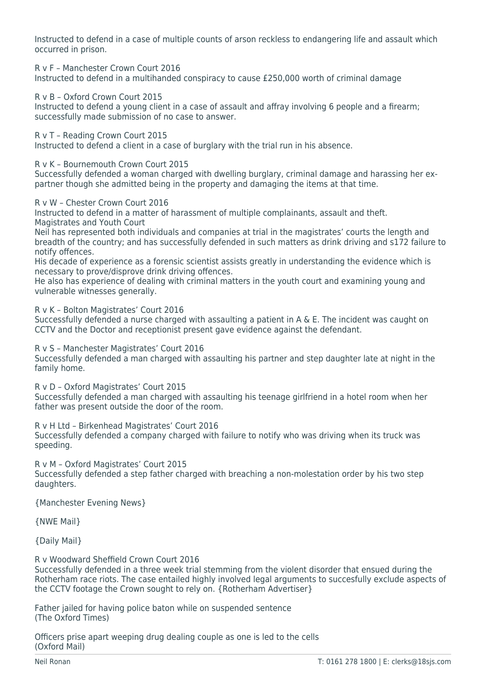Instructed to defend in a case of multiple counts of arson reckless to endangering life and assault which occurred in prison.

R v F – Manchester Crown Court 2016

Instructed to defend in a multihanded conspiracy to cause £250,000 worth of criminal damage

R v B – Oxford Crown Court 2015

Instructed to defend a young client in a case of assault and affray involving 6 people and a firearm; successfully made submission of no case to answer.

R v T – Reading Crown Court 2015

Instructed to defend a client in a case of burglary with the trial run in his absence.

R v K – Bournemouth Crown Court 2015

Successfully defended a woman charged with dwelling burglary, criminal damage and harassing her expartner though she admitted being in the property and damaging the items at that time.

R v W – Chester Crown Court 2016

Instructed to defend in a matter of harassment of multiple complainants, assault and theft. Magistrates and Youth Court

Neil has represented both individuals and companies at trial in the magistrates' courts the length and breadth of the country; and has successfully defended in such matters as drink driving and s172 failure to notify offences.

His decade of experience as a forensic scientist assists greatly in understanding the evidence which is necessary to prove/disprove drink driving offences.

He also has experience of dealing with criminal matters in the youth court and examining young and vulnerable witnesses generally.

R v K – Bolton Magistrates' Court 2016

Successfully defended a nurse charged with assaulting a patient in A & E. The incident was caught on CCTV and the Doctor and receptionist present gave evidence against the defendant.

R v S – Manchester Magistrates' Court 2016

Successfully defended a man charged with assaulting his partner and step daughter late at night in the family home.

R v D – Oxford Magistrates' Court 2015 Successfully defended a man charged with assaulting his teenage girlfriend in a hotel room when her father was present outside the door of the room.

R v H Ltd – Birkenhead Magistrates' Court 2016

Successfully defended a company charged with failure to notify who was driving when its truck was speeding.

R v M – Oxford Magistrates' Court 2015

Successfully defended a step father charged with breaching a non-molestation order by his two step daughters.

[{Manchester Evening News}](http://www.manchestereveningnews.co.uk/news/greater-manchester-news/forger-who-ran-production-line-13305870)

[{NWE Mail}](http://www.nwemail.co.uk/Convicted-Lakes-sex-pest-tells-court-of-Facebook-addiction-e747db2b-5a2a-42f2-a84c-2df00d9d833b-ds)

[{Daily Mail}](http://www.dailymail.co.uk/news/article-4507590/Sextortionist-jailed-blackmailing-man.html)

R v Woodward Sheffield Crown Court 2016

Successfully defended in a three week trial stemming from the violent disorder that ensued during the Rotherham race riots. The case entailed highly involved legal arguments to succesfully exclude aspects of the CCTV footage the Crown sought to rely on. {[Rotherham Advertiser}](http://www.rotherhamadvertiser.co.uk/news/view,four-guilty-of-violent-disorder-following-wellgate-riot_220.htm)

Father jailed for having police baton while on suspended sentence (The Oxford Times)

Officers prise apart weeping drug dealing couple as one is led to the cells (Oxford Mail)